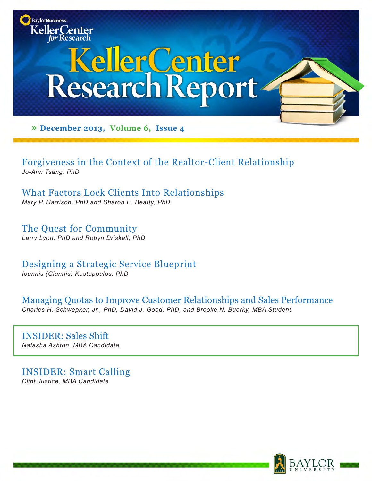

Forgiveness in the Context of the Realtor-Client Relationship *Jo-Ann Tsang, PhD*

What Factors Lock Clients Into Relationships *Mary P. Harrison, PhD and Sharon E. Beatty, PhD*

The Quest for Community *Larry Lyon, PhD and Robyn Driskell, PhD*

Designing a Strategic Service Blueprint *Ioannis (Giannis) Kostopoulos, PhD*

Managing Quotas to Improve Customer Relationships and Sales Performance *Charles H. Schwepker, Jr., PhD, David J. Good, PhD, and Brooke N. Buerky, MBA Student*

INSIDER: Sales Shift *Natasha Ashton, MBA Candidate* 

INSIDER: Smart Calling *Clint Justice, MBA Candidate*

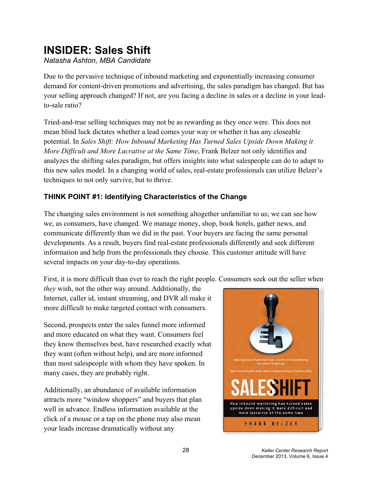# **INSIDER: Sales Shift**

*Natasha Ashton, MBA Candidate*

Due to the pervasive technique of inbound marketing and exponentially increasing consumer demand for content-driven promotions and advertising, the sales paradigm has changed. But has your selling approach changed? If not, are you facing a decline in sales or a decline in your leadto-sale ratio?

Tried-and-true selling techniques may not be as rewarding as they once were. This does not mean blind luck dictates whether a lead comes your way or whether it has any closeable potential. In *Sales Shift: How Inbound Marketing Has Turned Sales Upside Down Making it More Difficult and More Lucrative at the Same Time*, Frank Belzer not only identifies and analyzes the shifting sales paradigm, but offers insights into what salespeople can do to adapt to this new sales model. In a changing world of sales, real-estate professionals can utilize Belzer's techniques to not only survive, but to thrive.

## **THINK POINT #1: Identifying Characteristics of the Change**

The changing sales environment is not something altogether unfamiliar to us; we can see how we, as consumers, have changed. We manage money, shop, book hotels, gather news, and communicate differently than we did in the past. Your buyers are facing the same personal developments. As a result, buyers find real-estate professionals differently and seek different information and help from the professionals they choose. This customer attitude will have several impacts on your day-to-day operations.

First, it is more difficult than ever to reach the right people. Consumers seek out the seller when

*they* wish, not the other way around. Additionally, the Internet, caller id, instant streaming, and DVR all make it more difficult to make targeted contact with consumers.

Second, prospects enter the sales funnel more informed and more educated on what they want. Consumers feel they know themselves best, have researched exactly what they want (often without help), and are more informed than most salespeople with whom they have spoken. In many cases, they are probably right.

Additionally, an abundance of available information attracts more "window shoppers" and buyers that plan well in advance. Endless information available at the click of a mouse or a tap on the phone may also mean your leads increase dramatically without any

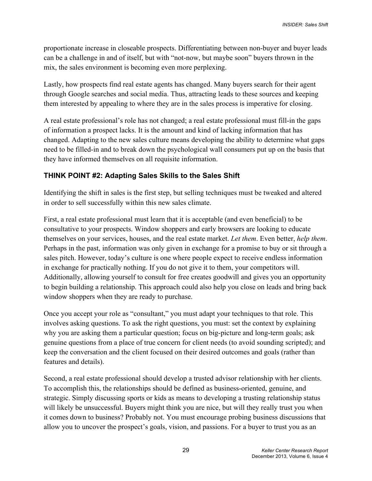proportionate increase in closeable prospects. Differentiating between non-buyer and buyer leads can be a challenge in and of itself, but with "not-now, but maybe soon" buyers thrown in the mix, the sales environment is becoming even more perplexing.

Lastly, how prospects find real estate agents has changed. Many buyers search for their agent through Google searches and social media. Thus, attracting leads to these sources and keeping them interested by appealing to where they are in the sales process is imperative for closing.

A real estate professional's role has not changed; a real estate professional must fill-in the gaps of information a prospect lacks. It is the amount and kind of lacking information that has changed. Adapting to the new sales culture means developing the ability to determine what gaps need to be filled-in and to break down the psychological wall consumers put up on the basis that they have informed themselves on all requisite information.

### **THINK POINT #2: Adapting Sales Skills to the Sales Shift**

Identifying the shift in sales is the first step, but selling techniques must be tweaked and altered in order to sell successfully within this new sales climate.

First, a real estate professional must learn that it is acceptable (and even beneficial) to be consultative to your prospects. Window shoppers and early browsers are looking to educate themselves on your services, houses, and the real estate market. *Let them*. Even better, *help them*. Perhaps in the past, information was only given in exchange for a promise to buy or sit through a sales pitch. However, today's culture is one where people expect to receive endless information in exchange for practically nothing. If you do not give it to them, your competitors will. Additionally, allowing yourself to consult for free creates goodwill and gives you an opportunity to begin building a relationship. This approach could also help you close on leads and bring back window shoppers when they are ready to purchase.

Once you accept your role as "consultant," you must adapt your techniques to that role. This involves asking questions. To ask the right questions, you must: set the context by explaining why you are asking them a particular question; focus on big-picture and long-term goals; ask genuine questions from a place of true concern for client needs (to avoid sounding scripted); and keep the conversation and the client focused on their desired outcomes and goals (rather than features and details).

Second, a real estate professional should develop a trusted advisor relationship with her clients. To accomplish this, the relationships should be defined as business-oriented, genuine, and strategic. Simply discussing sports or kids as means to developing a trusting relationship status will likely be unsuccessful. Buyers might think you are nice, but will they really trust you when it comes down to business? Probably not. You must encourage probing business discussions that allow you to uncover the prospect's goals, vision, and passions. For a buyer to trust you as an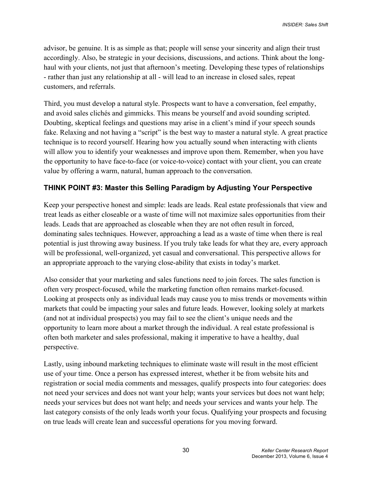advisor, be genuine. It is as simple as that; people will sense your sincerity and align their trust accordingly. Also, be strategic in your decisions, discussions, and actions. Think about the longhaul with your clients, not just that afternoon's meeting. Developing these types of relationships - rather than just any relationship at all - will lead to an increase in closed sales, repeat customers, and referrals.

Third, you must develop a natural style. Prospects want to have a conversation, feel empathy, and avoid sales clichés and gimmicks. This means be yourself and avoid sounding scripted. Doubting, skeptical feelings and questions may arise in a client's mind if your speech sounds fake. Relaxing and not having a "script" is the best way to master a natural style. A great practice technique is to record yourself. Hearing how you actually sound when interacting with clients will allow you to identify your weaknesses and improve upon them. Remember, when you have the opportunity to have face-to-face (or voice-to-voice) contact with your client, you can create value by offering a warm, natural, human approach to the conversation.

## **THINK POINT #3: Master this Selling Paradigm by Adjusting Your Perspective**

Keep your perspective honest and simple: leads are leads. Real estate professionals that view and treat leads as either closeable or a waste of time will not maximize sales opportunities from their leads. Leads that are approached as closeable when they are not often result in forced, dominating sales techniques. However, approaching a lead as a waste of time when there is real potential is just throwing away business. If you truly take leads for what they are, every approach will be professional, well-organized, yet casual and conversational. This perspective allows for an appropriate approach to the varying close-ability that exists in today's market.

Also consider that your marketing and sales functions need to join forces. The sales function is often very prospect-focused, while the marketing function often remains market-focused. Looking at prospects only as individual leads may cause you to miss trends or movements within markets that could be impacting your sales and future leads. However, looking solely at markets (and not at individual prospects) you may fail to see the client's unique needs and the opportunity to learn more about a market through the individual. A real estate professional is often both marketer and sales professional, making it imperative to have a healthy, dual perspective.

Lastly, using inbound marketing techniques to eliminate waste will result in the most efficient use of your time. Once a person has expressed interest, whether it be from website hits and registration or social media comments and messages, qualify prospects into four categories: does not need your services and does not want your help; wants your services but does not want help; needs your services but does not want help; and needs your services and wants your help. The last category consists of the only leads worth your focus. Qualifying your prospects and focusing on true leads will create lean and successful operations for you moving forward.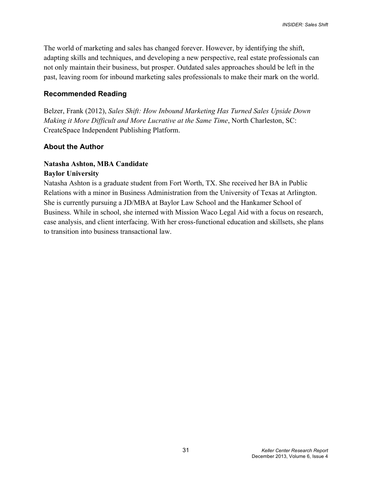The world of marketing and sales has changed forever. However, by identifying the shift, adapting skills and techniques, and developing a new perspective, real estate professionals can not only maintain their business, but prosper. Outdated sales approaches should be left in the past, leaving room for inbound marketing sales professionals to make their mark on the world.

#### **Recommended Reading**

Belzer, Frank (2012), *Sales Shift: How Inbound Marketing Has Turned Sales Upside Down Making it More Difficult and More Lucrative at the Same Time*, North Charleston, SC: CreateSpace Independent Publishing Platform.

#### **About the Author**

#### **Natasha Ashton, MBA Candidate Baylor University**

Natasha Ashton is a graduate student from Fort Worth, TX. She received her BA in Public Relations with a minor in Business Administration from the University of Texas at Arlington. She is currently pursuing a JD/MBA at Baylor Law School and the Hankamer School of Business. While in school, she interned with Mission Waco Legal Aid with a focus on research, case analysis, and client interfacing. With her cross-functional education and skillsets, she plans to transition into business transactional law.